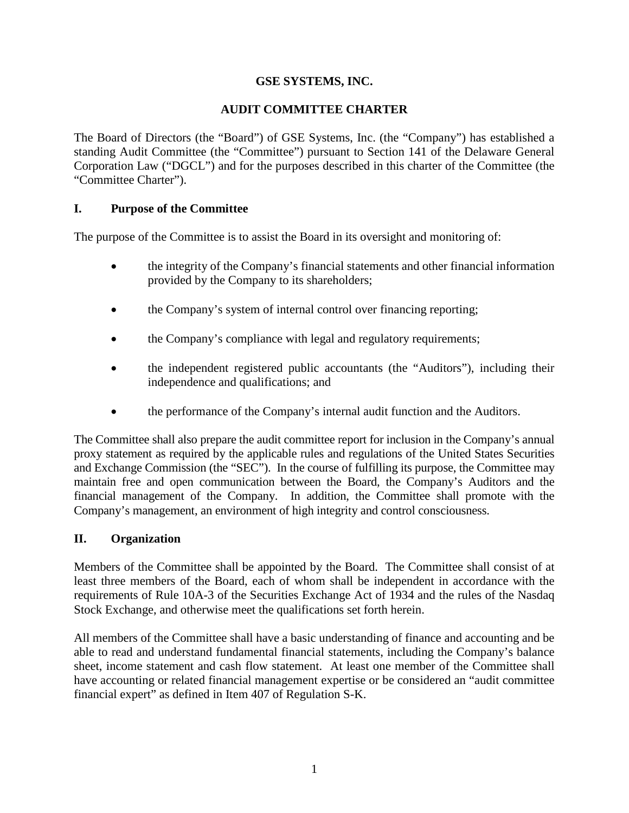# **GSE SYSTEMS, INC.**

# **AUDIT COMMITTEE CHARTER**

The Board of Directors (the "Board") of GSE Systems, Inc. (the "Company") has established a standing Audit Committee (the "Committee") pursuant to Section 141 of the Delaware General Corporation Law ("DGCL") and for the purposes described in this charter of the Committee (the "Committee Charter").

# **I. Purpose of the Committee**

The purpose of the Committee is to assist the Board in its oversight and monitoring of:

- the integrity of the Company's financial statements and other financial information provided by the Company to its shareholders;
- the Company's system of internal control over financing reporting;
- the Company's compliance with legal and regulatory requirements;
- the independent registered public accountants (the "Auditors"), including their independence and qualifications; and
- the performance of the Company's internal audit function and the Auditors.

The Committee shall also prepare the audit committee report for inclusion in the Company's annual proxy statement as required by the applicable rules and regulations of the United States Securities and Exchange Commission (the "SEC"). In the course of fulfilling its purpose, the Committee may maintain free and open communication between the Board, the Company's Auditors and the financial management of the Company. In addition, the Committee shall promote with the Company's management, an environment of high integrity and control consciousness.

# **II. Organization**

Members of the Committee shall be appointed by the Board. The Committee shall consist of at least three members of the Board, each of whom shall be independent in accordance with the requirements of Rule 10A-3 of the Securities Exchange Act of 1934 and the rules of the Nasdaq Stock Exchange, and otherwise meet the qualifications set forth herein.

All members of the Committee shall have a basic understanding of finance and accounting and be able to read and understand fundamental financial statements, including the Company's balance sheet, income statement and cash flow statement. At least one member of the Committee shall have accounting or related financial management expertise or be considered an "audit committee financial expert" as defined in Item 407 of Regulation S-K.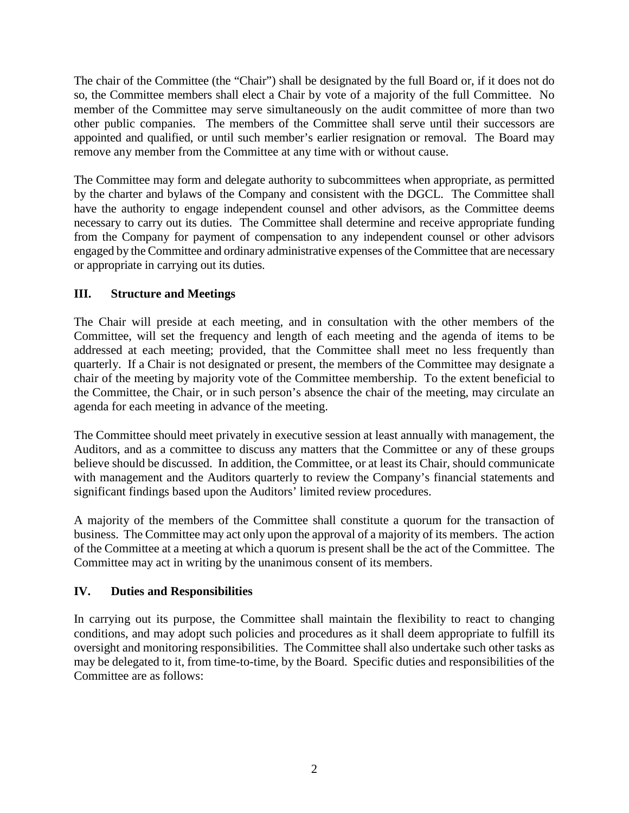The chair of the Committee (the "Chair") shall be designated by the full Board or, if it does not do so, the Committee members shall elect a Chair by vote of a majority of the full Committee. No member of the Committee may serve simultaneously on the audit committee of more than two other public companies. The members of the Committee shall serve until their successors are appointed and qualified, or until such member's earlier resignation or removal. The Board may remove any member from the Committee at any time with or without cause.

The Committee may form and delegate authority to subcommittees when appropriate, as permitted by the charter and bylaws of the Company and consistent with the DGCL. The Committee shall have the authority to engage independent counsel and other advisors, as the Committee deems necessary to carry out its duties. The Committee shall determine and receive appropriate funding from the Company for payment of compensation to any independent counsel or other advisors engaged by the Committee and ordinary administrative expenses of the Committee that are necessary or appropriate in carrying out its duties.

# **III. Structure and Meetings**

The Chair will preside at each meeting, and in consultation with the other members of the Committee, will set the frequency and length of each meeting and the agenda of items to be addressed at each meeting; provided, that the Committee shall meet no less frequently than quarterly. If a Chair is not designated or present, the members of the Committee may designate a chair of the meeting by majority vote of the Committee membership. To the extent beneficial to the Committee, the Chair, or in such person's absence the chair of the meeting, may circulate an agenda for each meeting in advance of the meeting.

The Committee should meet privately in executive session at least annually with management, the Auditors, and as a committee to discuss any matters that the Committee or any of these groups believe should be discussed. In addition, the Committee, or at least its Chair, should communicate with management and the Auditors quarterly to review the Company's financial statements and significant findings based upon the Auditors' limited review procedures.

A majority of the members of the Committee shall constitute a quorum for the transaction of business. The Committee may act only upon the approval of a majority of its members. The action of the Committee at a meeting at which a quorum is present shall be the act of the Committee. The Committee may act in writing by the unanimous consent of its members.

# **IV. Duties and Responsibilities**

In carrying out its purpose, the Committee shall maintain the flexibility to react to changing conditions, and may adopt such policies and procedures as it shall deem appropriate to fulfill its oversight and monitoring responsibilities. The Committee shall also undertake such other tasks as may be delegated to it, from time-to-time, by the Board. Specific duties and responsibilities of the Committee are as follows: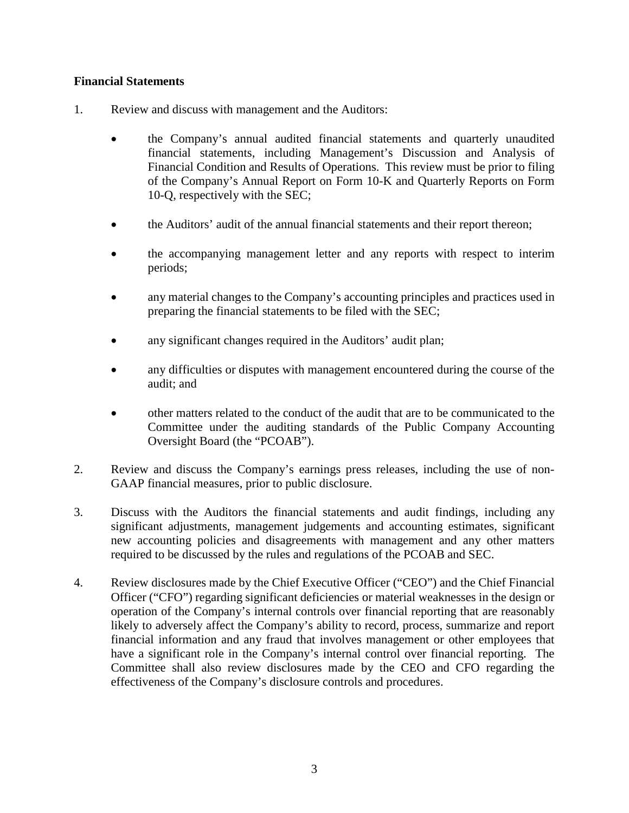## **Financial Statements**

- 1. Review and discuss with management and the Auditors:
	- the Company's annual audited financial statements and quarterly unaudited financial statements, including Management's Discussion and Analysis of Financial Condition and Results of Operations. This review must be prior to filing of the Company's Annual Report on Form 10-K and Quarterly Reports on Form 10-Q, respectively with the SEC;
	- the Auditors' audit of the annual financial statements and their report thereon;
	- the accompanying management letter and any reports with respect to interim periods;
	- any material changes to the Company's accounting principles and practices used in preparing the financial statements to be filed with the SEC;
	- any significant changes required in the Auditors' audit plan;
	- any difficulties or disputes with management encountered during the course of the audit; and
	- other matters related to the conduct of the audit that are to be communicated to the Committee under the auditing standards of the Public Company Accounting Oversight Board (the "PCOAB").
- 2. Review and discuss the Company's earnings press releases, including the use of non-GAAP financial measures, prior to public disclosure.
- 3. Discuss with the Auditors the financial statements and audit findings, including any significant adjustments, management judgements and accounting estimates, significant new accounting policies and disagreements with management and any other matters required to be discussed by the rules and regulations of the PCOAB and SEC.
- 4. Review disclosures made by the Chief Executive Officer ("CEO") and the Chief Financial Officer ("CFO") regarding significant deficiencies or material weaknesses in the design or operation of the Company's internal controls over financial reporting that are reasonably likely to adversely affect the Company's ability to record, process, summarize and report financial information and any fraud that involves management or other employees that have a significant role in the Company's internal control over financial reporting. The Committee shall also review disclosures made by the CEO and CFO regarding the effectiveness of the Company's disclosure controls and procedures.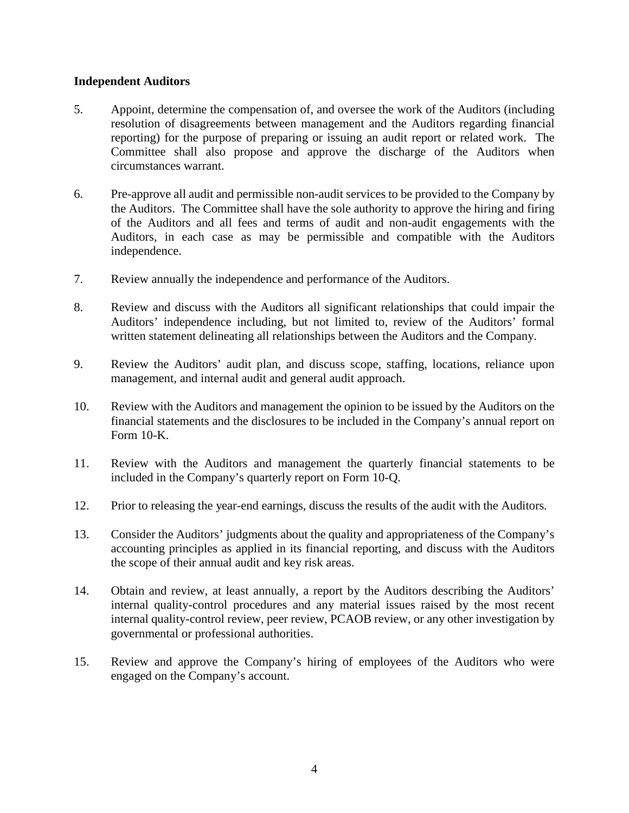### **Independent Auditors**

- 5. Appoint, determine the compensation of, and oversee the work of the Auditors (including resolution of disagreements between management and the Auditors regarding financial reporting) for the purpose of preparing or issuing an audit report or related work. The Committee shall also propose and approve the discharge of the Auditors when circumstances warrant.
- 6. Pre-approve all audit and permissible non-audit services to be provided to the Company by the Auditors. The Committee shall have the sole authority to approve the hiring and firing of the Auditors and all fees and terms of audit and non-audit engagements with the Auditors, in each case as may be permissible and compatible with the Auditors independence.
- 7. Review annually the independence and performance of the Auditors.
- 8. Review and discuss with the Auditors all significant relationships that could impair the Auditors' independence including, but not limited to, review of the Auditors' formal written statement delineating all relationships between the Auditors and the Company.
- 9. Review the Auditors' audit plan, and discuss scope, staffing, locations, reliance upon management, and internal audit and general audit approach.
- 10. Review with the Auditors and management the opinion to be issued by the Auditors on the financial statements and the disclosures to be included in the Company's annual report on Form 10-K.
- 11. Review with the Auditors and management the quarterly financial statements to be included in the Company's quarterly report on Form 10-Q.
- 12. Prior to releasing the year-end earnings, discuss the results of the audit with the Auditors.
- 13. Consider the Auditors' judgments about the quality and appropriateness of the Company's accounting principles as applied in its financial reporting, and discuss with the Auditors the scope of their annual audit and key risk areas.
- 14. Obtain and review, at least annually, a report by the Auditors describing the Auditors' internal quality-control procedures and any material issues raised by the most recent internal quality-control review, peer review, PCAOB review, or any other investigation by governmental or professional authorities.
- 15. Review and approve the Company's hiring of employees of the Auditors who were engaged on the Company's account.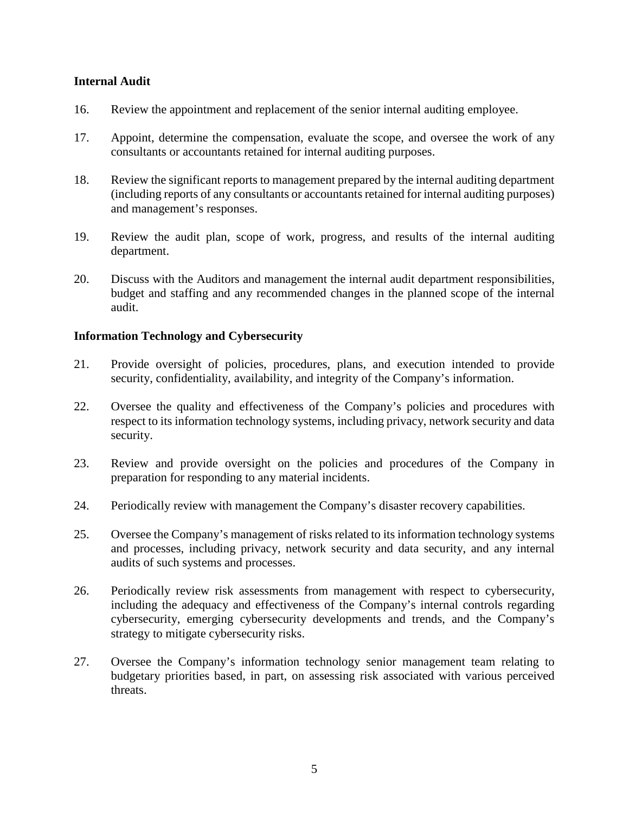#### **Internal Audit**

- 16. Review the appointment and replacement of the senior internal auditing employee.
- 17. Appoint, determine the compensation, evaluate the scope, and oversee the work of any consultants or accountants retained for internal auditing purposes.
- 18. Review the significant reports to management prepared by the internal auditing department (including reports of any consultants or accountants retained for internal auditing purposes) and management's responses.
- 19. Review the audit plan, scope of work, progress, and results of the internal auditing department.
- 20. Discuss with the Auditors and management the internal audit department responsibilities, budget and staffing and any recommended changes in the planned scope of the internal audit.

#### **Information Technology and Cybersecurity**

- 21. Provide oversight of policies, procedures, plans, and execution intended to provide security, confidentiality, availability, and integrity of the Company's information.
- 22. Oversee the quality and effectiveness of the Company's policies and procedures with respect to its information technology systems, including privacy, network security and data security.
- 23. Review and provide oversight on the policies and procedures of the Company in preparation for responding to any material incidents.
- 24. Periodically review with management the Company's disaster recovery capabilities.
- 25. Oversee the Company's management of risks related to its information technology systems and processes, including privacy, network security and data security, and any internal audits of such systems and processes.
- 26. Periodically review risk assessments from management with respect to cybersecurity, including the adequacy and effectiveness of the Company's internal controls regarding cybersecurity, emerging cybersecurity developments and trends, and the Company's strategy to mitigate cybersecurity risks.
- 27. Oversee the Company's information technology senior management team relating to budgetary priorities based, in part, on assessing risk associated with various perceived threats.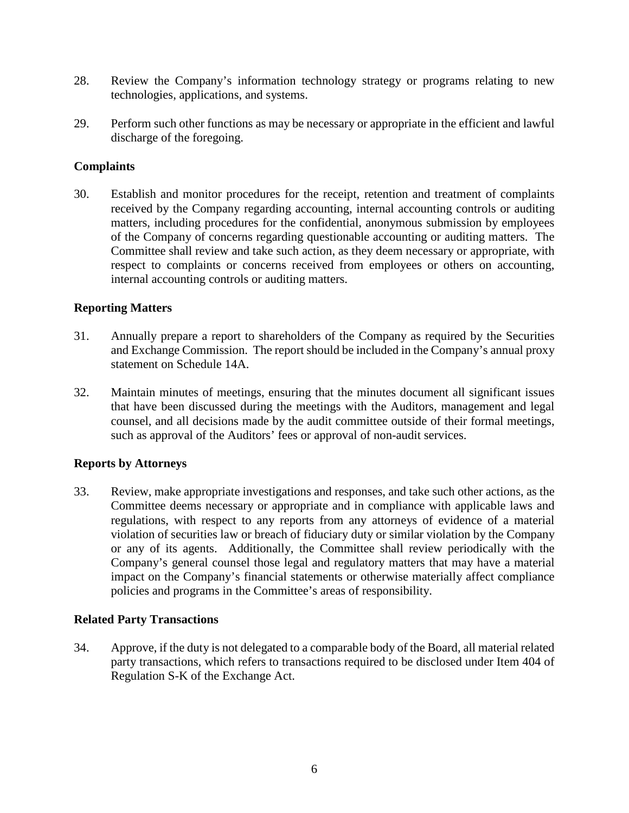- 28. Review the Company's information technology strategy or programs relating to new technologies, applications, and systems.
- 29. Perform such other functions as may be necessary or appropriate in the efficient and lawful discharge of the foregoing.

## **Complaints**

30. Establish and monitor procedures for the receipt, retention and treatment of complaints received by the Company regarding accounting, internal accounting controls or auditing matters, including procedures for the confidential, anonymous submission by employees of the Company of concerns regarding questionable accounting or auditing matters. The Committee shall review and take such action, as they deem necessary or appropriate, with respect to complaints or concerns received from employees or others on accounting, internal accounting controls or auditing matters.

## **Reporting Matters**

- 31. Annually prepare a report to shareholders of the Company as required by the Securities and Exchange Commission. The report should be included in the Company's annual proxy statement on Schedule 14A.
- 32. Maintain minutes of meetings, ensuring that the minutes document all significant issues that have been discussed during the meetings with the Auditors, management and legal counsel, and all decisions made by the audit committee outside of their formal meetings, such as approval of the Auditors' fees or approval of non-audit services.

#### **Reports by Attorneys**

33. Review, make appropriate investigations and responses, and take such other actions, as the Committee deems necessary or appropriate and in compliance with applicable laws and regulations, with respect to any reports from any attorneys of evidence of a material violation of securities law or breach of fiduciary duty or similar violation by the Company or any of its agents. Additionally, the Committee shall review periodically with the Company's general counsel those legal and regulatory matters that may have a material impact on the Company's financial statements or otherwise materially affect compliance policies and programs in the Committee's areas of responsibility.

#### **Related Party Transactions**

34. Approve, if the duty is not delegated to a comparable body of the Board, all material related party transactions, which refers to transactions required to be disclosed under Item 404 of Regulation S-K of the Exchange Act.